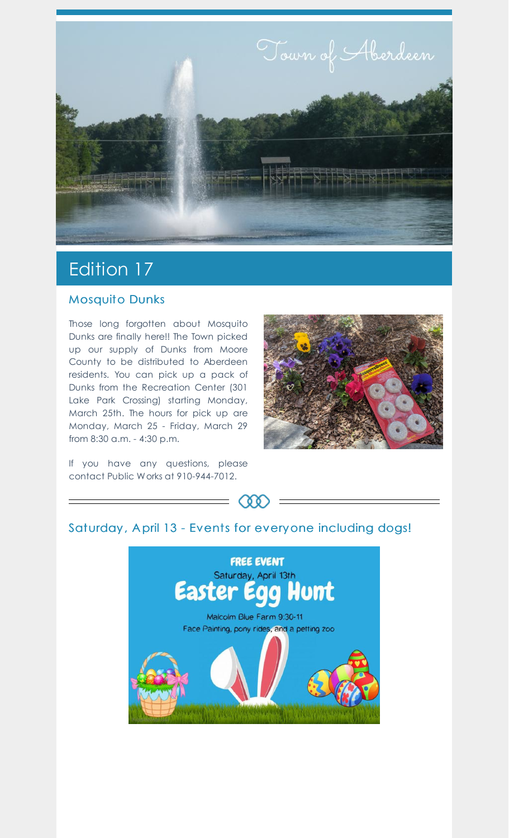

## Edition 17

## Mosquito Dunks

Those long forgotten about Mosquito Dunks are finally here!! The Town picked up our supply of Dunks from Moore County to be distributed to Aberdeen residents. You can pick up a pack of Dunks from the Recreation Center (301 Lake Park Crossing) starting Monday, March 25th. The hours for pick up are Monday, March 25 - Friday, March 29 from 8:30 a.m. - 4:30 p.m.

If you have any questions, please contact Public Works at 910-944-7012.





## Saturday, April 13 - Events for everyone including dogs!